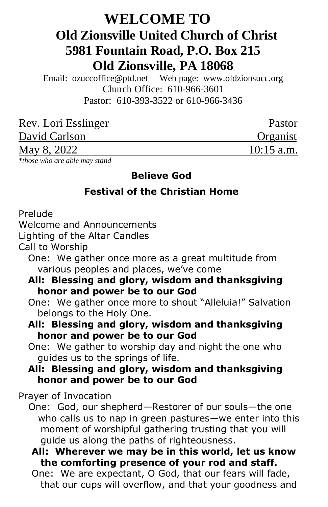# **WELCOME TO Old Zionsville United Church of Christ 5981 Fountain Road, P.O. Box 215 Old Zionsville, PA 18068**

Email: [ozuccoffice@ptd.net](mailto:ozuccoffice@ptd.net) Web page: [www.ol](http://www.uccwebsites.net/oldzionsvilleuccpa.html)dzionsucc.org Church Office: 610-966-3601 Pastor: 610-393-3522 or 610-966-3436

| Rev. Lori Esslinger | Pastor       |
|---------------------|--------------|
| David Carlson       | Organist     |
| May 8, 2022         | $10:15$ a.m. |

\**those who are able may stand*

#### **Believe God**

## **Festival of the Christian Home**

Prelude

Welcome and Announcements

Lighting of the Altar Candles

Call to Worship

 One: We gather once more as a great multitude from various peoples and places, we've come

#### **All: Blessing and glory, wisdom and thanksgiving honor and power be to our God**

 One: We gather once more to shout "Alleluia!" Salvation belongs to the Holy One.

### **All: Blessing and glory, wisdom and thanksgiving honor and power be to our God**

 One: We gather to worship day and night the one who guides us to the springs of life.

### **All: Blessing and glory, wisdom and thanksgiving honor and power be to our God**

Prayer of Invocation

 One: God, our shepherd—Restorer of our souls—the one who calls us to nap in green pastures—we enter into this moment of worshipful gathering trusting that you will guide us along the paths of righteousness.

### **All: Wherever we may be in this world, let us know the comforting presence of your rod and staff.**

 One: We are expectant, O God, that our fears will fade, that our cups will overflow, and that your goodness and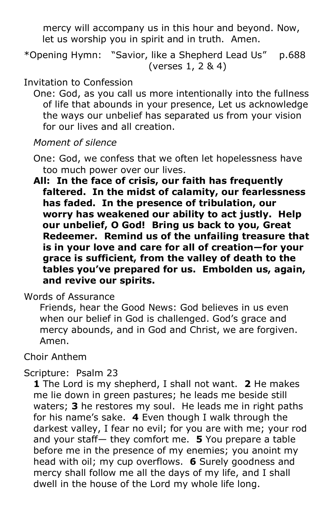mercy will accompany us in this hour and beyond. Now, let us worship you in spirit and in truth. Amen.

\*Opening Hymn: "Savior, like a Shepherd Lead Us" p.688 (verses 1, 2 & 4)

## Invitation to Confession

 One: God, as you call us more intentionally into the fullness of life that abounds in your presence, Let us acknowledge the ways our unbelief has separated us from your vision for our lives and all creation.

# *Moment of silence*

- One: God, we confess that we often let hopelessness have too much power over our lives.
- **All: In the face of crisis, our faith has frequently faltered. In the midst of calamity, our fearlessness has faded. In the presence of tribulation, our worry has weakened our ability to act justly. Help our unbelief, O God! Bring us back to you, Great Redeemer. Remind us of the unfailing treasure that is in your love and care for all of creation—for your grace is sufficient, from the valley of death to the tables you've prepared for us. Embolden us, again, and revive our spirits.**

Words of Assurance

 Friends, hear the Good News: God believes in us even when our belief in God is challenged. God's grace and mercy abounds, and in God and Christ, we are forgiven. Amen.

Choir Anthem

# Scripture: Psalm 23

 **1** The Lord is my shepherd, I shall not want. **2** He makes me lie down in green pastures; he leads me beside still waters; **3** he restores my soul. He leads me in right paths for his name's sake. **4** Even though I walk through the darkest valley, I fear no evil; for you are with me; your rod and your staff— they comfort me. **5** You prepare a table before me in the presence of my enemies; you anoint my head with oil; my cup overflows. **6** Surely goodness and mercy shall follow me all the days of my life, and I shall dwell in the house of the Lord my whole life long.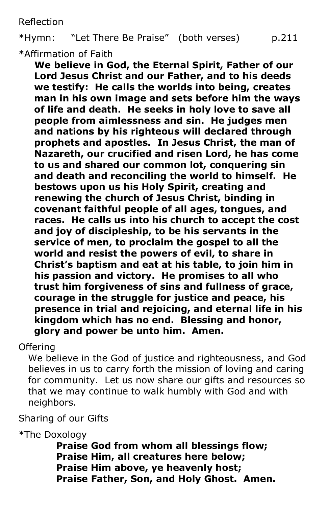Reflection

\*Hymn: "Let There Be Praise" (both verses) p.211 \*Affirmation of Faith

 **We believe in God, the Eternal Spirit, Father of our Lord Jesus Christ and our Father, and to his deeds we testify: He calls the worlds into being, creates man in his own image and sets before him the ways of life and death. He seeks in holy love to save all people from aimlessness and sin. He judges men and nations by his righteous will declared through prophets and apostles. In Jesus Christ, the man of Nazareth, our crucified and risen Lord, he has come to us and shared our common lot, conquering sin and death and reconciling the world to himself. He bestows upon us his Holy Spirit, creating and renewing the church of Jesus Christ, binding in covenant faithful people of all ages, tongues, and races. He calls us into his church to accept the cost and joy of discipleship, to be his servants in the service of men, to proclaim the gospel to all the world and resist the powers of evil, to share in Christ's baptism and eat at his table, to join him in his passion and victory. He promises to all who trust him forgiveness of sins and fullness of grace, courage in the struggle for justice and peace, his presence in trial and rejoicing, and eternal life in his kingdom which has no end. Blessing and honor, glory and power be unto him. Amen.**

**Offering** 

 We believe in the God of justice and righteousness, and God believes in us to carry forth the mission of loving and caring for community. Let us now share our gifts and resources so that we may continue to walk humbly with God and with neighbors.

Sharing of our Gifts

\*The Doxology

 **Praise God from whom all blessings flow; Praise Him, all creatures here below; Praise Him above, ye heavenly host; Praise Father, Son, and Holy Ghost. Amen.**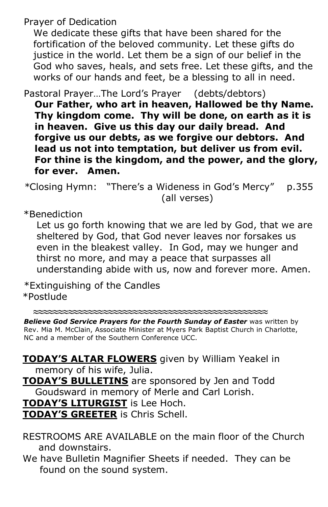Prayer of Dedication

 We dedicate these gifts that have been shared for the fortification of the beloved community. Let these gifts do justice in the world. Let them be a sign of our belief in the God who saves, heals, and sets free. Let these gifts, and the works of our hands and feet, be a blessing to all in need.

Pastoral Prayer…The Lord's Prayer (debts/debtors)

**Our Father, who art in heaven, Hallowed be thy Name. Thy kingdom come. Thy will be done, on earth as it is in heaven. Give us this day our daily bread. And forgive us our debts, as we forgive our debtors. And lead us not into temptation, but deliver us from evil. For thine is the kingdom, and the power, and the glory, for ever. Amen.**

*\**Closing Hymn: "There's a Wideness in God's Mercy" p.355 (all verses)

\*Benediction

 Let us go forth knowing that we are led by God, that we are sheltered by God, that God never leaves nor forsakes us even in the bleakest valley. In God, may we hunger and thirst no more, and may a peace that surpasses all understanding abide with us, now and forever more. Amen.

\*Extinguishing of the Candles \*Postlude

**≈≈≈≈≈≈≈≈≈≈≈≈≈≈≈≈≈≈≈≈≈≈≈≈≈≈≈≈≈≈≈≈≈≈≈≈≈≈≈≈≈≈≈≈≈≈≈**

*Believe God Service Prayers for the Fourth Sunday of Easter* was written by Rev. Mia M. McClain, Associate Minister at Myers Park Baptist Church in Charlotte, NC and a member of the Southern Conference UCC.

 **TODAY'S ALTAR FLOWERS** given by William Yeakel in memory of his wife, Julia. **TODAY'S BULLETINS** are sponsored by Jen and Todd Goudsward in memory of Merle and Carl Lorish. **TODAY'S LITURGIST** is Lee Hoch. **TODAY'S GREETER** is Chris Schell.

 RESTROOMS ARE AVAILABLE on the main floor of the Church and downstairs.

 We have Bulletin Magnifier Sheets if needed. They can be found on the sound system.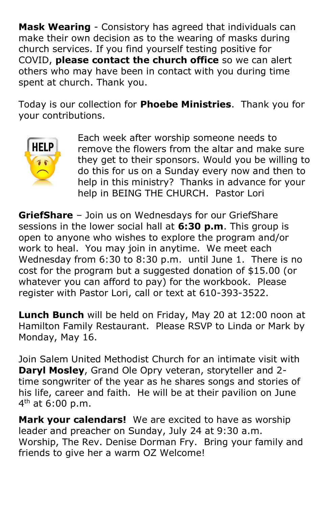**Mask Wearing** - Consistory has agreed that individuals can make their own decision as to the wearing of masks during church services. If you find yourself testing positive for COVID, **please contact the church office** so we can alert others who may have been in contact with you during time spent at church. Thank you.

Today is our collection for **Phoebe Ministries**. Thank you for your contributions.



Each week after worship someone needs to remove the flowers from the altar and make sure they get to their sponsors. Would you be willing to do this for us on a Sunday every now and then to help in this ministry? Thanks in advance for your help in BEING THE CHURCH. Pastor Lori

**GriefShare** – Join us on Wednesdays for our GriefShare sessions in the lower social hall at **6:30 p.m**. This group is open to anyone who wishes to explore the program and/or work to heal. You may join in anytime. We meet each Wednesday from 6:30 to 8:30 p.m. until June 1. There is no cost for the program but a suggested donation of \$15.00 (or whatever you can afford to pay) for the workbook. Please register with Pastor Lori, call or text at 610-393-3522.

**Lunch Bunch** will be held on Friday, May 20 at 12:00 noon at Hamilton Family Restaurant. Please RSVP to Linda or Mark by Monday, May 16.

Join Salem United Methodist Church for an intimate visit with **Daryl Mosley**, Grand Ole Opry veteran, storyteller and 2 time songwriter of the year as he shares songs and stories of his life, career and faith. He will be at their pavilion on June 4<sup>th</sup> at 6:00 p.m.

**Mark your calendars!** We are excited to have as worship leader and preacher on Sunday, July 24 at 9:30 a.m. Worship, The Rev. Denise Dorman Fry. Bring your family and friends to give her a warm OZ Welcome!